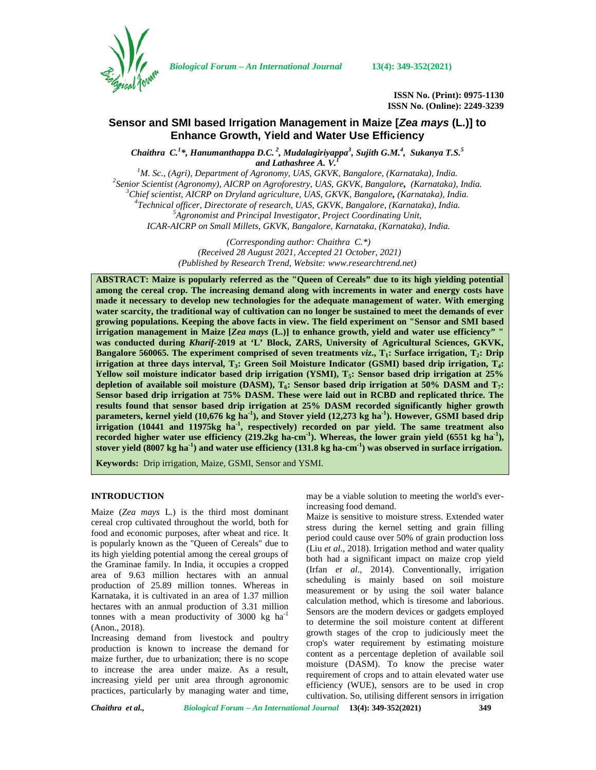

*Biological Forum – An International Journal* **13(4): 349-352(2021)**

**ISSN No. (Print): 0975-1130 ISSN No. (Online): 2249-3239**

# **Sensor and SMI based Irrigation Management in Maize [***Zea mays* **(L.)] to Enhance Growth, Yield and Water Use Efficiency**

*Chaithra C.<sup>1</sup>\*, Hanumanthappa D.C. <sup>2</sup> , Mudalagiriyappa<sup>3</sup> , Sujith G.M.<sup>4</sup> , Sukanya T.S.<sup>5</sup> and Lathashree A. V.<sup>1</sup><br><sup>1</sup>M. Sc., (Agri), Department of Agronomy, UAS, GKVK, Bangalore, (Karnataka), India.* 

<sup>2</sup>Senior Scientist (Agronomy), AICRP on Agroforestry, UAS, GKVK, Bangalore, (Karnataka), India.<br><sup>3</sup>Chief scientist, AICRP on Dryland agriculture, UAS, GKVK, Bangalore, (Karnataka), India.<br><sup>4</sup>Technical officer, Directorat *ICAR-AICRP on Small Millets, GKVK, Bangalore, Karnataka, (Karnataka), India.*

> *(Corresponding author: Chaithra C.\*) (Received 28 August 2021, Accepted 21 October, 2021) (Published by Research Trend, Website: [www.researchtrend.net\)](www.researchtrend.net)*

**ABSTRACT: Maize is popularly referred as the "Queen of Cereals" due to its high yielding potential among the cereal crop. The increasing demand along with increments in water and energy costs have made it necessary to develop new technologies for the adequate management of water. With emerging water scarcity, the traditional way of cultivation can no longer be sustained to meet the demands of ever growing populations. Keeping the above facts in view. The field experiment on "Sensor and SMI based irrigation management in Maize [***Zea mays* **(L.)] to enhance growth, yield and water use efficiency" " was conducted during** *Kharif-***2019 at 'L' Block, ZARS, University of Agricultural Sciences, GKVK, Bangalore 560065. The experiment comprised of seven treatments** *viz***., T1: Surface irrigation, T2: Drip irrigation at three days interval, T3: Green Soil Moisture Indicator (GSMI) based drip irrigation, T4: Yellow soil moisture indicator based drip irrigation (YSMI), T5: Sensor based drip irrigation at 25% depletion of available soil moisture (DASM), T6: Sensor based drip irrigation at 50% DASM and T7: Sensor based drip irrigation at 75% DASM. These were laid out in RCBD and replicated thrice. The results found that sensor based drip irrigation at 25% DASM recorded significantly higher growth parameters, kernel yield (10,676 kg ha-1), and Stover yield (12,273 kg ha-1). However, GSMI based drip irrigation (10441 and 11975kg ha-1 , respectively) recorded on par yield. The same treatment also recorded higher water use efficiency (219.2kg ha-cm-1). Whereas, the lower grain yield (6551 kg ha-1), stover yield (8007 kg ha-1) and water use efficiency (131.8 kg ha-cm-1) was observed in surface irrigation.**

**Keywords:** Drip irrigation, Maize, GSMI, Sensor and YSMI.

## **INTRODUCTION**

Maize (*Zea mays* L.) is the third most dominant cereal crop cultivated throughout the world, both for food and economic purposes, after wheat and rice. It is popularly known as the "Queen of Cereals" due to its high yielding potential among the cereal groups of the Graminae family. In India, it occupies a cropped area of 9.63 million hectares with an annual production of 25.89 million tonnes. Whereas in Karnataka, it is cultivated in an area of 1.37 million hectares with an annual production of 3.31 million tonnes with a mean productivity of 3000 kg  $ha^{-1}$ (Anon., 2018).

Increasing demand from livestock and poultry production is known to increase the demand for maize further, due to urbanization; there is no scope to increase the area under maize. As a result, increasing yield per unit area through agronomic practices, particularly by managing water and time,

may be a viable solution to meeting the world's everincreasing food demand.

Maize is sensitive to moisture stress. Extended water stress during the kernel setting and grain filling period could cause over 50% of grain production loss (Liu *et al*., 2018). Irrigation method and water quality both had a significant impact on maize crop yield (Irfan *et al*., 2014). Conventionally, irrigation scheduling is mainly based on soil moisture measurement or by using the soil water balance calculation method, which is tiresome and laborious. Sensors are the modern devices or gadgets employed to determine the soil moisture content at different growth stages of the crop to judiciously meet the crop's water requirement by estimating moisture content as a percentage depletion of available soil moisture (DASM). To know the precise water requirement of crops and to attain elevated water use efficiency (WUE), sensors are to be used in crop cultivation. So, utilising different sensors in irrigation

*Chaithra et al., Biological Forum – An International Journal* **13(4): 349-352(2021) 349**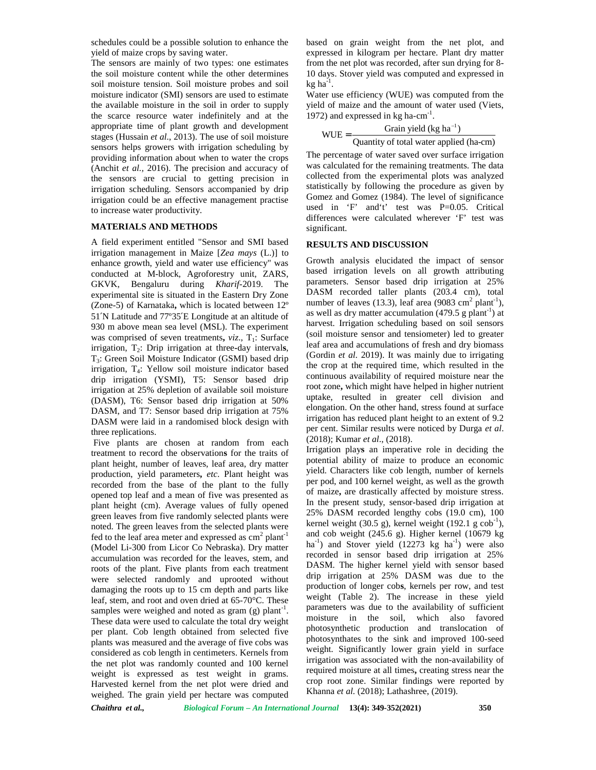schedules could be a possible solution to enhance the yield of maize crops by saving water.

The sensors are mainly of two types: one estimates the soil moisture content while the other determines soil moisture tension. Soil moisture probes and soil moisture indicator (SMI) sensors are used to estimate the available moisture in the soil in order to supply the scarce resource water indefinitely and at the appropriate time of plant growth and development stages (Hussain *et al*., 2013). The use of soil moisture sensors helps growers with irrigation scheduling by providing information about when to water the crops (Anchit *et al.,* 2016). The precision and accuracy of the sensors are crucial to getting precision in irrigation scheduling. Sensors accompanied by drip irrigation could be an effective management practise to increase water productivity.

### **MATERIALS AND METHODS**

A field experiment entitled "Sensor and SMI based irrigation management in Maize [*Zea mays* (L.)] to enhance growth, yield and water use efficiency" was conducted at M-block, Agroforestry unit, ZARS, GKVK, Bengaluru during *Kharif*-2019. The experimental site is situated in the Eastern Dry Zone (Zone-5) of Karnataka**,** which is located between 12º 51′N Latitude and 77º35′E Longitude at an altitude of 930 m above mean sea level (MSL). The experiment was comprised of seven treatments,  $viz.$ ,  $T_1$ : Surface irrigation, T<sub>2</sub>: Drip irrigation at three-day intervals, T3: Green Soil Moisture Indicator (GSMI) based drip irrigation, T4: Yellow soil moisture indicator based drip irrigation (YSMI), T5: Sensor based drip irrigation at 25% depletion of available soil moisture (DASM), T6: Sensor based drip irrigation at 50% DASM, and T7: Sensor based drip irrigation at 75% DASM were laid in a randomised block design with three replications.

Five plants are chosen at random from each treatment to record the observation**s** for the traits of plant height, number of leaves, leaf area, dry matter production, yield parameters**,** *etc*. Plant height was recorded from the base of the plant to the fully opened top leaf and a mean of five was presented as plant height (cm). Average values of fully opened green leaves from five randomly selected plants were noted. The green leaves from the selected plants were fed to the leaf area meter and expressed as  $cm<sup>2</sup>$  plant<sup>-1</sup> (Model Li-300 from Licor Co Nebraska). Dry matter accumulation was recorded for the leaves, stem, and roots of the plant. Five plants from each treatment were selected randomly and uprooted without damaging the roots up to 15 cm depth and parts like leaf, stem, and root and oven dried at 65-70°C. These samples were weighed and noted as gram (g) plant<sup>-1</sup>.  $\Gamma$ These data were used to calculate the total dry weight per plant. Cob length obtained from selected five plants was measured and the average of five cobs was considered as cob length in centimeters. Kernels from the net plot was randomly counted and 100 kernel weight is expressed as test weight in grams. Harvested kernel from the net plot were dried and weighed. The grain yield per hectare was computed

based on grain weight from the net plot, and expressed in kilogram per hectare. Plant dry matter from the net plot was recorded, after sun drying for 8- 10 days. Stover yield was computed and expressed in  $kg$  ha $^{-1}$ .

Water use efficiency (WUE) was computed from the yield of maize and the amount of water used (Viets, 1972) and expressed in  $kg$  ha-cm<sup>-1</sup>.

$$
WUE = \frac{Grain yield (kg ha-1)}{Quantity of total water applied (ha-cm)}
$$

d on grain weight from the net plot, and<br>
essed in kilogram per hectare. Plant dry matter<br>
in the net plot was recorded, after sun drying for 8-<br>
ays. Stover yield was computed and expressed in<br>
a<sup>-1</sup>.<br>
er use efficiency The percentage of water saved over surface irrigation was calculated for the remaining treatments. The data collected from the experimental plots was analyzed statistically by following the procedure as given by Gomez and Gomez (1984). The level of significance used in 'F' and't' test was P=0.05. Critical differences were calculated wherever 'F' test was significant.

## **RESULTS AND DISCUSSION**

Growth analysis elucidated the impact of sensor based irrigation levels on all growth attributing parameters. Sensor based drip irrigation at 25% DASM recorded taller plants (203.4 cm), total number of leaves (13.3), leaf area (9083 cm<sup>2</sup> plant<sup>-1</sup>), as well as dry matter accumulation  $(479.5 \text{ g plant}^{-1})$  at harvest. Irrigation scheduling based on soil sensors (soil moisture sensor and tensiometer) led to greater leaf area and accumulations of fresh and dry biomass (Gordin *et al*. 2019). It was mainly due to irrigating the crop at the required time, which resulted in the continuous availability of required moisture near the root zone**,** which might have helped in higher nutrient uptake, resulted in greater cell division and elongation. On the other hand, stress found at surface irrigation has reduced plant height to an extent of 9.2 per cent. Similar results were noticed by Durga *et al*. (2018); Kumar *et al*., (2018).

Irrigation play**s** an imperative role in deciding the potential ability of maize to produce an economic yield. Characters like cob length, number of kernels per pod, and 100 kernel weight, as well as the growth of maize**,** are drastically affected by moisture stress. In the present study, sensor-based drip irrigation at 25% DASM recorded lengthy cobs (19.0 cm), 100 kernel weight (30.5 g), kernel weight (192.1 g  $\cosh^{-1}$ ), and cob weight (245.6 g). Higher kernel (10679 kg ha<sup>-1</sup>) and Stover yield  $(12273 \text{ kg} \text{ ha}^{-1})$  were also recorded in sensor based drip irrigation at 25% DASM. The higher kernel yield with sensor based drip irrigation at 25% DASM was due to the production of longer cob**s**, kernels per row, and test weight (Table 2). The increase in these yield parameters was due to the availability of sufficient moisture in the soil, which also favored photosynthetic production and translocation of photosynthates to the sink and improved 100-seed weight. Significantly lower grain yield in surface irrigation was associated with the non-availability of required moisture at all times**,** creating stress near the crop root zone. Similar findings were reported by Khanna *et al.* (2018); Lathashree, (2019).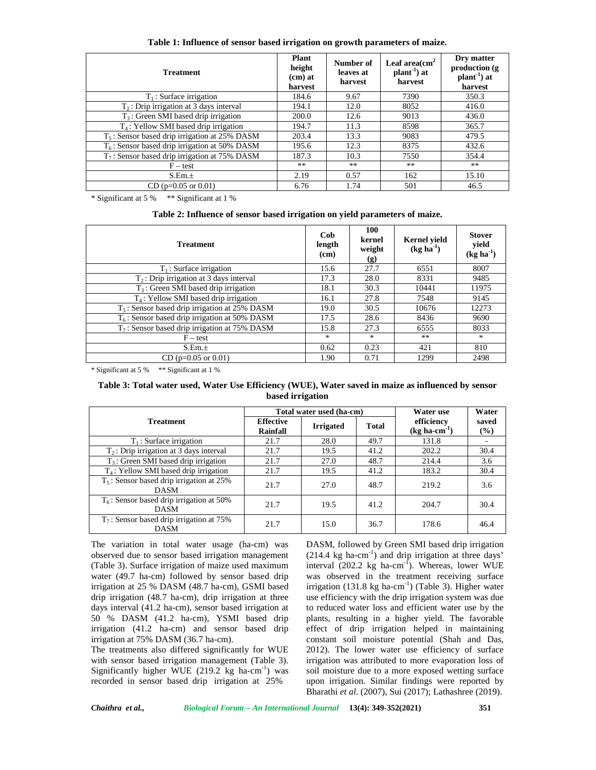|  |  |  | Table 1: Influence of sensor based irrigation on growth parameters of maize. |  |
|--|--|--|------------------------------------------------------------------------------|--|
|  |  |  |                                                                              |  |

| <b>Treatment</b>                                 | Plant<br>height<br>$(cm)$ at<br>harvest | Number of<br>leaves at<br>harvest | Leaf area $\text{cm}^2$<br>$plant^{-1}$ ) at<br>harvest | Dry matter<br>production (g<br>$plant^{-1}$ ) at<br>harvest |
|--------------------------------------------------|-----------------------------------------|-----------------------------------|---------------------------------------------------------|-------------------------------------------------------------|
| $T_1$ : Surface irrigation                       | 184.6                                   | 9.67                              | 7390                                                    | 350.3                                                       |
| $T2$ : Drip irrigation at 3 days interval        | 194.1                                   | 12.0                              | 8052                                                    | 416.0                                                       |
| $T_3$ : Green SMI based drip irrigation          | 200.0                                   | 12.6                              | 9013                                                    | 436.0                                                       |
| $T_4$ : Yellow SMI based drip irrigation         | 194.7                                   | 11.3                              | 8598                                                    | 365.7                                                       |
| $T_5$ : Sensor based drip irrigation at 25% DASM | 203.4                                   | 13.3                              | 9083                                                    | 479.5                                                       |
| $T6$ : Sensor based drip irrigation at 50% DASM  | 195.6                                   | 12.3                              | 8375                                                    | 432.6                                                       |
| $T_7$ : Sensor based drip irrigation at 75% DASM | 187.3                                   | 10.3                              | 7550                                                    | 354.4                                                       |
| $F - test$                                       | $**$                                    | $***$                             | $**$                                                    | $***$                                                       |
| S.Em.±                                           | 2.19                                    | 0.57                              | 162                                                     | 15.10                                                       |
| $CD (p=0.05 \text{ or } 0.01)$                   | 6.76                                    | 1.74                              | 501                                                     | 46.5                                                        |

\* Significant at 5 % \*\* Significant at 1 %

**Table 2: Influence of sensor based irrigation on yield parameters of maize.**

| <b>Treatment</b>                                 | Cob<br>length<br>(cm) | 100<br>kernel<br>weight<br>(g) | <b>Kernel</b> yield<br>$(kg ha-1)$ | <b>Stover</b><br>yield<br>$(kg ha-1)$ |
|--------------------------------------------------|-----------------------|--------------------------------|------------------------------------|---------------------------------------|
| $T_1$ : Surface irrigation                       | 15.6                  | 27.7                           | 6551                               | 8007                                  |
| $T2$ : Drip irrigation at 3 days interval        | 17.3                  | 28.0                           | 8331                               | 9485                                  |
| $T_3$ : Green SMI based drip irrigation          | 18.1                  | 30.3                           | 10441                              | 11975                                 |
| $T4$ : Yellow SMI based drip irrigation          | 16.1                  | 27.8                           | 7548                               | 9145                                  |
| $T_5$ : Sensor based drip irrigation at 25% DASM | 19.0                  | 30.5                           | 10676                              | 12273                                 |
| $T_6$ : Sensor based drip irrigation at 50% DASM | 17.5                  | 28.6                           | 8436                               | 9690                                  |
| $T_7$ : Sensor based drip irrigation at 75% DASM | 15.8                  | 27.3                           | 6555                               | 8033                                  |
| $F - test$                                       | *                     | $\ast$                         | **                                 | $\ast$                                |
| S.Em.±                                           | 0.62                  | 0.23                           | 421                                | 810                                   |
| $CD (p=0.05 or 0.01)$                            | 1.90                  | 0.71                           | 1299                               | 2498                                  |

\* Significant at 5 % \*\* Significant at 1 %

| Table 3: Total water used, Water Use Efficiency (WUE), Water saved in maize as influenced by sensor |  |  |  |  |  |  |
|-----------------------------------------------------------------------------------------------------|--|--|--|--|--|--|
| based irrigation                                                                                    |  |  |  |  |  |  |

|                                                            |                              | Total water used (ha-cm) | Water use    | Water                                          |              |
|------------------------------------------------------------|------------------------------|--------------------------|--------------|------------------------------------------------|--------------|
| <b>Treatment</b>                                           | <b>Effective</b><br>Rainfall | <b>Irrigated</b>         | <b>Total</b> | efficiency<br>$(\text{kg} \text{ ha-cm}^{-1})$ | saved<br>(%) |
| $T_1$ : Surface irrigation                                 | 21.7                         | 28.0                     | 49.7         | 131.8                                          |              |
| $T2$ : Drip irrigation at 3 days interval                  | 21.7                         | 19.5                     | 41.2         | 202.2                                          | 30.4         |
| $T_3$ : Green SMI based drip irrigation                    | 21.7                         | 27.0                     | 48.7         | 214.4                                          | 3.6          |
| $T_4$ : Yellow SMI based drip irrigation                   | 21.7                         | 19.5                     | 41.2         | 183.2                                          | 30.4         |
| $T_5$ : Sensor based drip irrigation at 25%<br><b>DASM</b> | 21.7                         | 27.0                     | 48.7         | 219.2                                          | 3.6          |
| $T_6$ : Sensor based drip irrigation at 50%<br><b>DASM</b> | 21.7                         | 19.5                     | 41.2         | 204.7                                          | 30.4         |
| $T_7$ : Sensor based drip irrigation at 75%<br><b>DASM</b> | 21.7                         | 15.0                     | 36.7         | 178.6                                          | 46.4         |

The variation in total water usage (ha-cm) was observed due to sensor based irrigation management (Table 3). Surface irrigation of maize used maximum water (49.7 ha-cm) followed by sensor based drip irrigation at 25 % DASM (48.7 ha-cm), GSMI based drip irrigation (48.7 ha-cm), drip irrigation at three days interval (41.2 ha-cm), sensor based irrigation at 50 % DASM (41.2 ha-cm), YSMI based drip irrigation (41.2 ha-cm) and sensor based drip irrigation at 75% DASM (36.7 ha-cm).

The treatments also differed significantly for WUE with sensor based irrigation management (Table 3). Significantly higher WUE  $(219.2 \text{ kg} \text{ ha-cm}^{-1})$  was recorded in sensor based drip irrigation at 25%

DASM, followed by Green SMI based drip irrigation  $(214.4 \text{ kg ha-cm}^{-1})$  and drip irrigation at three days' interval  $(202.2 \text{ kg ha-cm}^{-1})$ . Whereas, lower WUE was observed in the treatment receiving surface irrigation (131.8 kg ha-cm<sup>-1</sup>) (Table 3). Higher water use efficiency with the drip irrigation system was due to reduced water loss and efficient water use by the plants, resulting in a higher yield. The favorable effect of drip irrigation helped in maintaining constant soil moisture potential (Shah and Das, 2012). The lower water use efficiency of surface irrigation was attributed to more evaporation loss of soil moisture due to a more exposed wetting surface upon irrigation. Similar findings were reported by Bharathi *et al*. (2007), Sui (2017); Lathashree (2019).